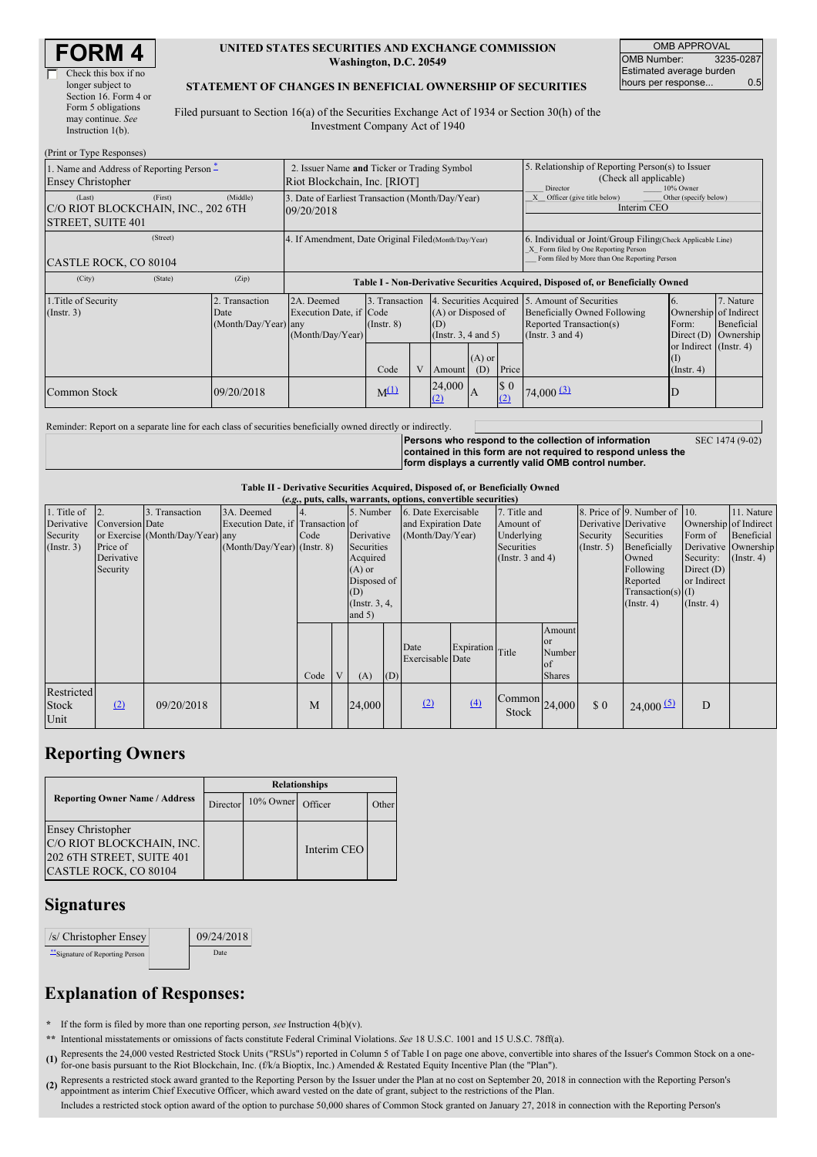| <b>FORM4</b> |
|--------------|
|--------------|

| Check this box if no  |
|-----------------------|
| longer subject to     |
| Section 16. Form 4 or |
| Form 5 obligations    |
| may continue. See     |
| Instruction $1(b)$ .  |

#### **UNITED STATES SECURITIES AND EXCHANGE COMMISSION Washington, D.C. 20549**

OMB APPROVAL OMB Number: 3235-0287 Estimated average burden hours per response... 0.5

#### **STATEMENT OF CHANGES IN BENEFICIAL OWNERSHIP OF SECURITIES**

Filed pursuant to Section 16(a) of the Securities Exchange Act of 1934 or Section 30(h) of the Investment Company Act of 1940

| (Print or Type Responses)                                                |                                                                             |                                                       |                                                                                  |                               |   |                                                                                        |                                                                                                     |                                                                                                                                                    |                                                                                                                    |                                                                                                            |                                      |  |
|--------------------------------------------------------------------------|-----------------------------------------------------------------------------|-------------------------------------------------------|----------------------------------------------------------------------------------|-------------------------------|---|----------------------------------------------------------------------------------------|-----------------------------------------------------------------------------------------------------|----------------------------------------------------------------------------------------------------------------------------------------------------|--------------------------------------------------------------------------------------------------------------------|------------------------------------------------------------------------------------------------------------|--------------------------------------|--|
| 1. Name and Address of Reporting Person –<br><b>Ensey Christopher</b>    | 2. Issuer Name and Ticker or Trading Symbol<br>Riot Blockchain, Inc. [RIOT] |                                                       |                                                                                  |                               |   |                                                                                        | 5. Relationship of Reporting Person(s) to Issuer<br>(Check all applicable)<br>Director<br>10% Owner |                                                                                                                                                    |                                                                                                                    |                                                                                                            |                                      |  |
| (Last)<br>C/O RIOT BLOCKCHAIN, INC., 202 6TH<br><b>STREET, SUITE 401</b> | (First)                                                                     | (Middle)                                              | 3. Date of Earliest Transaction (Month/Day/Year)<br>09/20/2018                   |                               |   |                                                                                        |                                                                                                     |                                                                                                                                                    | Officer (give title below)<br>Other (specify below)<br>Interim CEO                                                 |                                                                                                            |                                      |  |
| CASTLE ROCK, CO 80104                                                    |                                                                             | 4. If Amendment, Date Original Filed (Month/Day/Year) |                                                                                  |                               |   |                                                                                        |                                                                                                     | 6. Individual or Joint/Group Filing(Check Applicable Line)<br>X Form filed by One Reporting Person<br>Form filed by More than One Reporting Person |                                                                                                                    |                                                                                                            |                                      |  |
| (City)                                                                   | (State)                                                                     | (Zip)                                                 | Table I - Non-Derivative Securities Acquired, Disposed of, or Beneficially Owned |                               |   |                                                                                        |                                                                                                     |                                                                                                                                                    |                                                                                                                    |                                                                                                            |                                      |  |
| 1. Title of Security<br>(Insert. 3)                                      |                                                                             | 2. Transaction<br>Date<br>(Month/Day/Year) any        | 2A. Deemed<br>Execution Date, if Code<br>(Month/Day/Year)                        | 3. Transaction<br>(Insert. 8) |   | 4. Securities Acquired<br>(A) or Disposed of<br>(D)<br>(Instr. 3, 4 and 5)<br>$(A)$ or |                                                                                                     |                                                                                                                                                    | 5. Amount of Securities<br><b>Beneficially Owned Following</b><br>Reported Transaction(s)<br>(Instr. $3$ and $4$ ) | $\mathbf{b}$ .<br>Ownership of Indirect<br>Form:<br>Direct $(D)$<br>or Indirect (Instr. 4)<br>$($ $\Gamma$ | 7. Nature<br>Beneficial<br>Ownership |  |
|                                                                          |                                                                             |                                                       |                                                                                  | Code                          | V | Amount                                                                                 | (D)                                                                                                 | Price                                                                                                                                              |                                                                                                                    | $($ Instr. 4 $)$                                                                                           |                                      |  |
| Common Stock                                                             |                                                                             | 09/20/2018                                            |                                                                                  | $M^{(1)}$                     |   | 24,000<br>(2)                                                                          | IA                                                                                                  | $\sqrt{ }$<br>(2)                                                                                                                                  | $74,000 \, 3$                                                                                                      |                                                                                                            |                                      |  |

Reminder: Report on a separate line for each class of securities beneficially owned directly or indirectly.

**Persons who respond to the collection of information contained in this form are not required to respond unless the form displays a currently valid OMB control number.**

SEC 1474 (9-02)

## **Table II - Derivative Securities Acquired, Disposed of, or Beneficially Owned**

| (e.g., puts, calls, warrants, options, convertible securities) |                                                                    |                                                    |                                                                                |                          |   |                                                                                                                    |     |                                                                |                  |                                                                                |                                                      |                             |                                                                                                                                                                   |                                                                                                  |                                                                      |
|----------------------------------------------------------------|--------------------------------------------------------------------|----------------------------------------------------|--------------------------------------------------------------------------------|--------------------------|---|--------------------------------------------------------------------------------------------------------------------|-----|----------------------------------------------------------------|------------------|--------------------------------------------------------------------------------|------------------------------------------------------|-----------------------------|-------------------------------------------------------------------------------------------------------------------------------------------------------------------|--------------------------------------------------------------------------------------------------|----------------------------------------------------------------------|
| 1. Title of<br>Derivative<br>Security<br>(Insert. 3)           | 2.<br><b>Conversion</b> Date<br>Price of<br>Derivative<br>Security | 3. Transaction<br>or Exercise (Month/Day/Year) any | 3A. Deemed<br>Execution Date, if Transaction of<br>(Month/Day/Year) (Instr. 8) | $\overline{4}$ .<br>Code |   | 5. Number<br>Derivative<br>Securities<br>Acquired<br>$(A)$ or<br>Disposed of<br>(D)<br>(Instr. $3, 4,$<br>and $5)$ |     | 6. Date Exercisable<br>and Expiration Date<br>(Month/Day/Year) |                  | 7. Title and<br>Amount of<br>Underlying<br>Securities<br>(Instr. $3$ and $4$ ) |                                                      | Security<br>(Insert. 5)     | 8. Price of 9. Number of 10.<br>Derivative Derivative<br>Securities<br>Beneficially<br>Owned<br>Following<br>Reported<br>$Transaction(s)$ (I)<br>$($ Instr. 4 $)$ | Ownership of Indirect<br>Form of<br>Security:<br>Direct $(D)$<br>or Indirect<br>$($ Instr. 4 $)$ | 11. Nature<br>Beneficial<br>Derivative Ownership<br>$($ Instr. 4 $)$ |
|                                                                |                                                                    |                                                    |                                                                                | Code                     | V | (A)                                                                                                                | (D) | Date<br>Exercisable Date                                       | Expiration Title |                                                                                | Amount<br>or<br>Number<br><b>of</b><br><b>Shares</b> |                             |                                                                                                                                                                   |                                                                                                  |                                                                      |
| Restricted<br>Stock<br>Unit                                    | (2)                                                                | 09/20/2018                                         |                                                                                | M                        |   | 24,000                                                                                                             |     | (2)                                                            | (4)              | $\left \text{Common}\right _{24,000}$<br><b>Stock</b>                          |                                                      | $\boldsymbol{\mathsf{S}}$ 0 | 24,000(5)                                                                                                                                                         | D                                                                                                |                                                                      |

### **Reporting Owners**

|                                                                                                             | <b>Relationships</b> |              |             |       |  |  |  |  |  |
|-------------------------------------------------------------------------------------------------------------|----------------------|--------------|-------------|-------|--|--|--|--|--|
| <b>Reporting Owner Name / Address</b>                                                                       | Director             | $10\%$ Owner | Officer     | Other |  |  |  |  |  |
| <b>Ensey Christopher</b><br>C/O RIOT BLOCKCHAIN, INC.<br>202 6TH STREET, SUITE 401<br>CASTLE ROCK, CO 80104 |                      |              | Interim CEO |       |  |  |  |  |  |

### **Signatures**

| $\sqrt{s}$ Christopher Ensey   | 09/24/2018 |
|--------------------------------|------------|
| "Signature of Reporting Person | Date       |

# **Explanation of Responses:**

**\*** If the form is filed by more than one reporting person, *see* Instruction 4(b)(v).

- **\*\*** Intentional misstatements or omissions of facts constitute Federal Criminal Violations. *See* 18 U.S.C. 1001 and 15 U.S.C. 78ff(a).
- **(1)** for-one basis pursuant to the Riot Blockchain, Inc. (f/k/a Bioptix, Inc.) Amended & Restated Equity Incentive Plan (the "Plan"). Represents the 24,000 vested Restricted Stock Units ("RSUs") reported in Column 5 of Table I on page one above, convertible into shares of the Issuer's Common Stock on a one-
- (2) Represents a restricted stock award granted to the Reporting Person by the Issuer under the Plan at no cost on September 20, 2018 in connection with the Reporting Person's<br>Connection the Reporting Chief Executive Offic appointment as interim Chief Executive Officer, which award vested on the date of grant, subject to the restrictions of the Plan.

Includes a restricted stock option award of the option to purchase 50,000 shares of Common Stock granted on January 27, 2018 in connection with the Reporting Person's